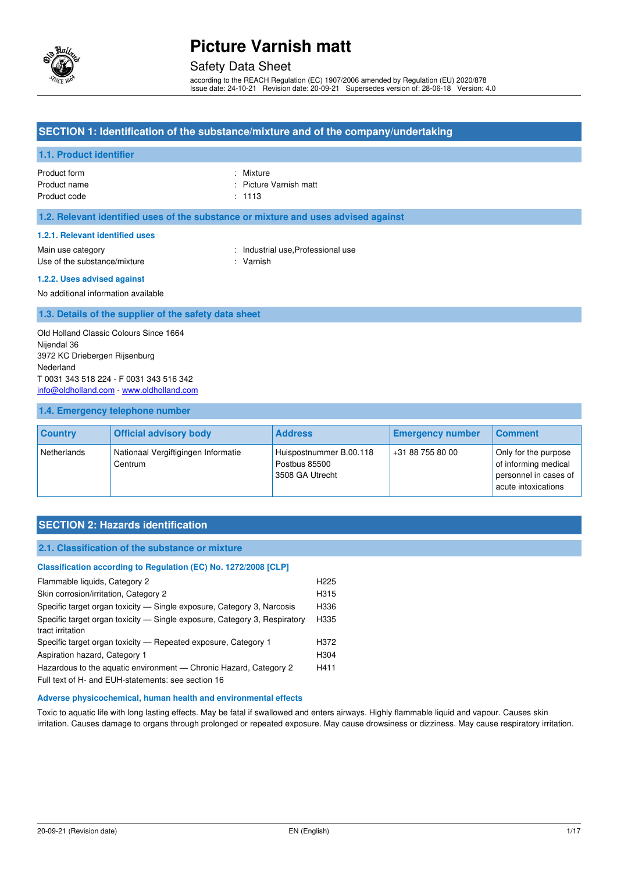

#### Safety Data Sheet

according to the REACH Regulation (EC) 1907/2006 amended by Regulation (EU) 2020/878 Issue date: 24-10-21 Revision date: 20-09-21 Supersedes version of: 28-06-18 Version: 4.0

#### **SECTION 1: Identification of the substance/mixture and of the company/undertaking**

#### **1.1. Product identifier**

Product form : Nixture : Nixture Product name  $\qquad \qquad$ : Picture Varnish matt Product code : 1113

#### **1.2. Relevant identified uses of the substance or mixture and uses advised against**

#### **1.2.1. Relevant identified uses**

Main use category **Example 20** and the United States of the Industrial use, Professional use Use of the substance/mixture : Varnish

#### **1.2.2. Uses advised against**

No additional information available

#### **1.3. Details of the supplier of the safety data sheet**

Old Holland Classic Colours Since 1664 Nijendal 36 3972 KC Driebergen Rijsenburg Nederland T 0031 343 518 224 - F 0031 343 516 342 [info@oldholland.com](mailto:info@oldholland.com) - [www.oldholland.com](http://www.oldholland.com/)

#### **1.4. Emergency telephone number**

| <b>Country</b> | <b>Official advisory body</b>                  | <b>Address</b>                                              | <b>Emergency number</b> | <b>Comment</b>                                                                               |
|----------------|------------------------------------------------|-------------------------------------------------------------|-------------------------|----------------------------------------------------------------------------------------------|
| Netherlands    | Nationaal Vergiftigingen Informatie<br>Centrum | Huispostnummer B.00.118<br>Postbus 85500<br>3508 GA Utrecht | +31 88 755 80 00        | Only for the purpose<br>of informing medical<br>personnel in cases of<br>acute intoxications |

### **SECTION 2: Hazards identification**

#### **2.1. Classification of the substance or mixture**

| Classification according to Regulation (EC) No. 1272/2008 [CLP]           |                  |
|---------------------------------------------------------------------------|------------------|
| Flammable liquids, Category 2                                             | H <sub>225</sub> |
| Skin corrosion/irritation, Category 2                                     | H315             |
| Specific target organ toxicity — Single exposure, Category 3, Narcosis    | H336             |
| Specific target organ toxicity - Single exposure, Category 3, Respiratory | H335             |
| tract irritation                                                          |                  |
| Specific target organ toxicity — Repeated exposure, Category 1            | H372             |
| Aspiration hazard, Category 1                                             | H304             |
| Hazardous to the aquatic environment — Chronic Hazard, Category 2         | H411             |
| Full text of H- and EUH-statements: see section 16                        |                  |

#### **Adverse physicochemical, human health and environmental effects**

Toxic to aquatic life with long lasting effects. May be fatal if swallowed and enters airways. Highly flammable liquid and vapour. Causes skin irritation. Causes damage to organs through prolonged or repeated exposure. May cause drowsiness or dizziness. May cause respiratory irritation.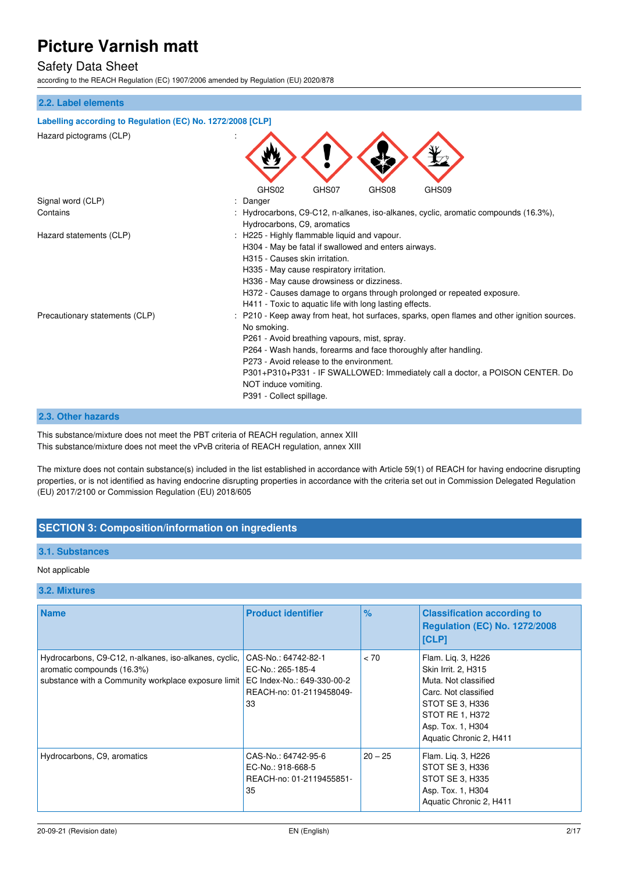### Safety Data Sheet

according to the REACH Regulation (EC) 1907/2006 amended by Regulation (EU) 2020/878

#### **2.2. Label elements**

| Labelling according to Regulation (EC) No. 1272/2008 [CLP] |                                                                                                                                                                                                                                                                                                                                                                                                                |  |
|------------------------------------------------------------|----------------------------------------------------------------------------------------------------------------------------------------------------------------------------------------------------------------------------------------------------------------------------------------------------------------------------------------------------------------------------------------------------------------|--|
| Hazard pictograms (CLP)                                    |                                                                                                                                                                                                                                                                                                                                                                                                                |  |
|                                                            | GHS02<br>GHS07<br>GHS08<br>GHS09                                                                                                                                                                                                                                                                                                                                                                               |  |
| Signal word (CLP)                                          | Danger                                                                                                                                                                                                                                                                                                                                                                                                         |  |
| Contains                                                   | : Hydrocarbons, C9-C12, n-alkanes, iso-alkanes, cyclic, aromatic compounds (16.3%),<br>Hydrocarbons, C9, aromatics                                                                                                                                                                                                                                                                                             |  |
| Hazard statements (CLP)                                    | : H225 - Highly flammable liquid and vapour.<br>H304 - May be fatal if swallowed and enters airways.<br>H315 - Causes skin irritation.<br>H335 - May cause respiratory irritation.<br>H336 - May cause drowsiness or dizziness.<br>H372 - Causes damage to organs through prolonged or repeated exposure.<br>H411 - Toxic to aquatic life with long lasting effects.                                           |  |
| Precautionary statements (CLP)                             | : P210 - Keep away from heat, hot surfaces, sparks, open flames and other ignition sources.<br>No smoking.<br>P261 - Avoid breathing vapours, mist, spray.<br>P264 - Wash hands, forearms and face thoroughly after handling.<br>P273 - Avoid release to the environment.<br>P301+P310+P331 - IF SWALLOWED: Immediately call a doctor, a POISON CENTER. Do<br>NOT induce vomiting.<br>P391 - Collect spillage. |  |

#### **2.3. Other hazards**

This substance/mixture does not meet the PBT criteria of REACH regulation, annex XIII This substance/mixture does not meet the vPvB criteria of REACH regulation, annex XIII

The mixture does not contain substance(s) included in the list established in accordance with Article 59(1) of REACH for having endocrine disrupting properties, or is not identified as having endocrine disrupting properties in accordance with the criteria set out in Commission Delegated Regulation (EU) 2017/2100 or Commission Regulation (EU) 2018/605

### **SECTION 3: Composition/information on ingredients**

#### **3.1. Substances**

#### Not applicable

#### **3.2. Mixtures**

| <b>Name</b>                                                                                                                                | <b>Product identifier</b>                                                                                | $\%$      | <b>Classification according to</b><br><b>Regulation (EC) No. 1272/2008</b><br>[CLP]                                                                                             |
|--------------------------------------------------------------------------------------------------------------------------------------------|----------------------------------------------------------------------------------------------------------|-----------|---------------------------------------------------------------------------------------------------------------------------------------------------------------------------------|
| Hydrocarbons, C9-C12, n-alkanes, iso-alkanes, cyclic,<br>aromatic compounds (16.3%)<br>substance with a Community workplace exposure limit | CAS-No.: 64742-82-1<br>EC-No.: 265-185-4<br>EC Index-No.: 649-330-00-2<br>REACH-no: 01-2119458049-<br>33 | < 70      | Flam. Lig. 3, H226<br>Skin Irrit. 2, H315<br>Muta. Not classified<br>Carc. Not classified<br>STOT SE 3, H336<br>STOT RE 1, H372<br>Asp. Tox. 1, H304<br>Aquatic Chronic 2, H411 |
| Hydrocarbons, C9, aromatics                                                                                                                | CAS-No.: 64742-95-6<br>EC-No.: 918-668-5<br>REACH-no: 01-2119455851-<br>35                               | $20 - 25$ | Flam. Lig. 3, H226<br>STOT SE 3, H336<br>STOT SE 3, H335<br>Asp. Tox. 1, H304<br>Aquatic Chronic 2, H411                                                                        |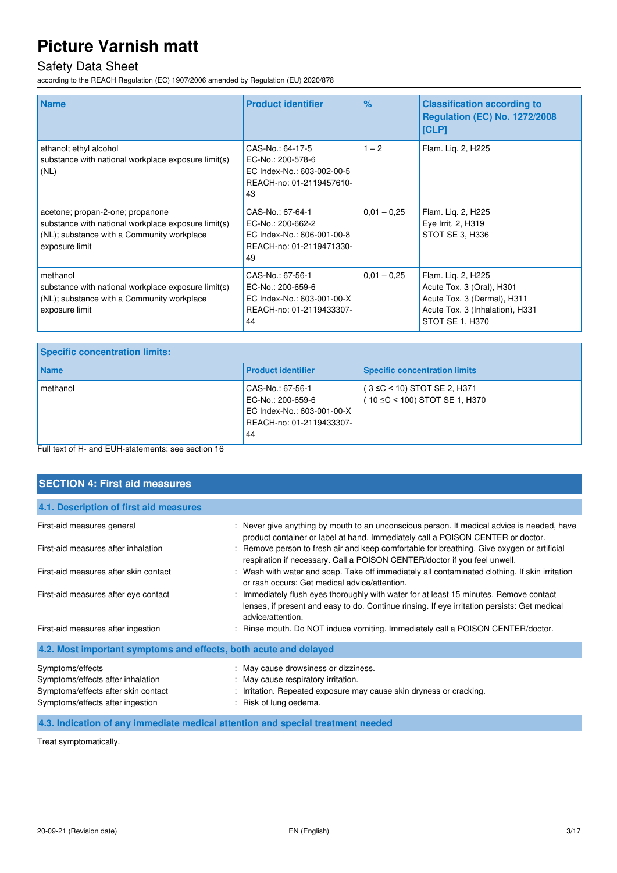### Safety Data Sheet

according to the REACH Regulation (EC) 1907/2006 amended by Regulation (EU) 2020/878

| <b>Name</b>                                                                                                                                             | <b>Product identifier</b>                                                                             | %             | <b>Classification according to</b><br><b>Regulation (EC) No. 1272/2008</b><br>[CLP]                                                  |
|---------------------------------------------------------------------------------------------------------------------------------------------------------|-------------------------------------------------------------------------------------------------------|---------------|--------------------------------------------------------------------------------------------------------------------------------------|
| ethanol; ethyl alcohol<br>substance with national workplace exposure limit(s)<br>(NL)                                                                   | CAS-No.: 64-17-5<br>EC-No.: 200-578-6<br>EC Index-No.: 603-002-00-5<br>REACH-no: 01-2119457610-<br>43 | $1 - 2$       | Flam. Lig. 2, H225                                                                                                                   |
| acetone; propan-2-one; propanone<br>substance with national workplace exposure limit(s)<br>(NL); substance with a Community workplace<br>exposure limit | CAS-No.: 67-64-1<br>EC-No.: 200-662-2<br>EC Index-No.: 606-001-00-8<br>REACH-no: 01-2119471330-<br>49 | $0,01 - 0,25$ | Flam. Lig. 2, H225<br>Eye Irrit. 2, H319<br>STOT SE 3, H336                                                                          |
| methanol<br>substance with national workplace exposure limit(s)<br>(NL); substance with a Community workplace<br>exposure limit                         | CAS-No.: 67-56-1<br>EC-No.: 200-659-6<br>EC Index-No.: 603-001-00-X<br>REACH-no: 01-2119433307-<br>44 | $0.01 - 0.25$ | Flam. Lig. 2, H225<br>Acute Tox. 3 (Oral), H301<br>Acute Tox. 3 (Dermal), H311<br>Acute Tox. 3 (Inhalation), H331<br>STOT SE 1, H370 |

| <b>Name</b><br><b>Product identifier</b>                                                                          | <b>Specific concentration limits</b>                               |
|-------------------------------------------------------------------------------------------------------------------|--------------------------------------------------------------------|
| methanol<br>CAS-No.: 67-56-1<br>EC-No.: 200-659-6<br>EC Index-No.: 603-001-00-X<br>REACH-no: 01-2119433307-<br>44 | $(3 \leq C < 10)$ STOT SE 2, H371<br>(10 ≤C < 100) STOT SE 1, H370 |

Full text of H- and EUH-statements: see section 16

| <b>SECTION 4: First aid measures</b>                                                                                             |                                                                                                                                                                                                             |
|----------------------------------------------------------------------------------------------------------------------------------|-------------------------------------------------------------------------------------------------------------------------------------------------------------------------------------------------------------|
| 4.1. Description of first aid measures                                                                                           |                                                                                                                                                                                                             |
| First-aid measures general                                                                                                       | : Never give anything by mouth to an unconscious person. If medical advice is needed, have                                                                                                                  |
| First-aid measures after inhalation                                                                                              | product container or label at hand. Immediately call a POISON CENTER or doctor.<br>: Remove person to fresh air and keep comfortable for breathing. Give oxygen or artificial                               |
|                                                                                                                                  | respiration if necessary. Call a POISON CENTER/doctor if you feel unwell.                                                                                                                                   |
| First-aid measures after skin contact                                                                                            | : Wash with water and soap. Take off immediately all contaminated clothing. If skin irritation<br>or rash occurs: Get medical advice/attention.                                                             |
| First-aid measures after eye contact                                                                                             | : Immediately flush eyes thoroughly with water for at least 15 minutes. Remove contact<br>lenses, if present and easy to do. Continue rinsing. If eye irritation persists: Get medical<br>advice/attention. |
| First-aid measures after ingestion                                                                                               | : Rinse mouth. Do NOT induce vomiting. Immediately call a POISON CENTER/doctor.                                                                                                                             |
| 4.2. Most important symptoms and effects, both acute and delayed                                                                 |                                                                                                                                                                                                             |
| Symptoms/effects<br>Symptoms/effects after inhalation<br>Symptoms/effects after skin contact<br>Symptoms/effects after ingestion | : May cause drowsiness or dizziness.<br>: May cause respiratory irritation.<br>: Irritation. Repeated exposure may cause skin dryness or cracking.<br>: Risk of lung oedema.                                |

**4.3. Indication of any immediate medical attention and special treatment needed** 

Treat symptomatically.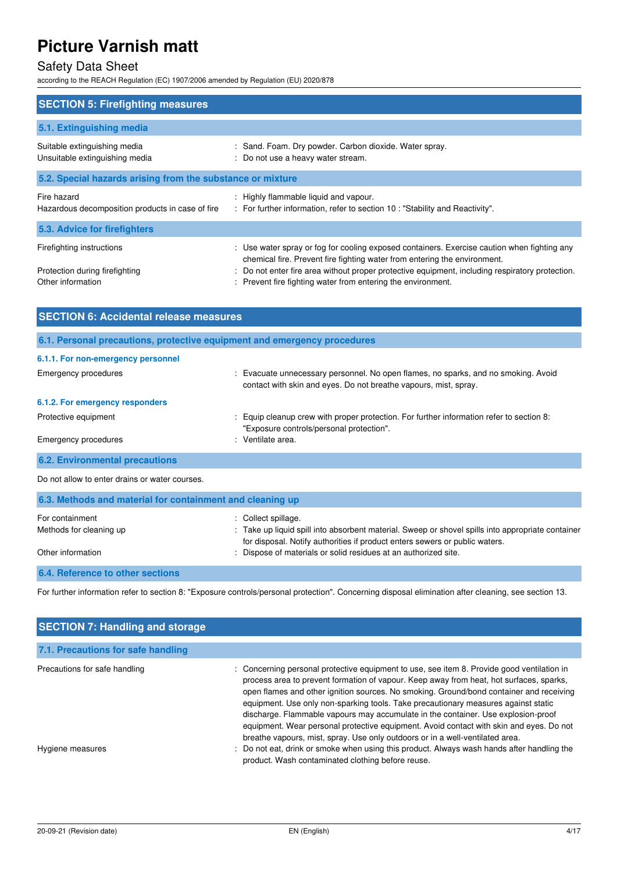### Safety Data Sheet

according to the REACH Regulation (EC) 1907/2006 amended by Regulation (EU) 2020/878

| <b>SECTION 5: Firefighting measures</b>                                          |                                                                                                                                                                                                                                                                                                                                             |
|----------------------------------------------------------------------------------|---------------------------------------------------------------------------------------------------------------------------------------------------------------------------------------------------------------------------------------------------------------------------------------------------------------------------------------------|
| 5.1. Extinguishing media                                                         |                                                                                                                                                                                                                                                                                                                                             |
| Suitable extinguishing media<br>Unsuitable extinguishing media                   | : Sand. Foam. Dry powder. Carbon dioxide. Water spray.<br>: Do not use a heavy water stream.                                                                                                                                                                                                                                                |
| 5.2. Special hazards arising from the substance or mixture                       |                                                                                                                                                                                                                                                                                                                                             |
| Fire hazard<br>Hazardous decomposition products in case of fire                  | : Highly flammable liquid and vapour.<br>: For further information, refer to section 10 : "Stability and Reactivity".                                                                                                                                                                                                                       |
| 5.3. Advice for firefighters                                                     |                                                                                                                                                                                                                                                                                                                                             |
| Firefighting instructions<br>Protection during firefighting<br>Other information | : Use water spray or fog for cooling exposed containers. Exercise caution when fighting any<br>chemical fire. Prevent fire fighting water from entering the environment.<br>: Do not enter fire area without proper protective equipment, including respiratory protection.<br>: Prevent fire fighting water from entering the environment. |

| <b>SECTION 6: Accidental release measures</b>                            |                                                                                                                                                        |
|--------------------------------------------------------------------------|--------------------------------------------------------------------------------------------------------------------------------------------------------|
| 6.1. Personal precautions, protective equipment and emergency procedures |                                                                                                                                                        |
| 6.1.1. For non-emergency personnel                                       |                                                                                                                                                        |
| <b>Emergency procedures</b>                                              | : Evacuate unnecessary personnel. No open flames, no sparks, and no smoking. Avoid<br>contact with skin and eyes. Do not breathe vapours, mist, spray. |
| 6.1.2. For emergency responders                                          |                                                                                                                                                        |
| Protective equipment                                                     | : Equip cleanup crew with proper protection. For further information refer to section 8:<br>"Exposure controls/personal protection".                   |
| <b>Emergency procedures</b>                                              | : Ventilate area.                                                                                                                                      |
| <b>6.2. Environmental precautions</b>                                    |                                                                                                                                                        |

Do not allow to enter drains or water courses.

| 6.3. Methods and material for containment and cleaning up |                                                                                                                                                                                  |
|-----------------------------------------------------------|----------------------------------------------------------------------------------------------------------------------------------------------------------------------------------|
| For containment                                           | : Collect spillage.                                                                                                                                                              |
| Methods for cleaning up                                   | : Take up liquid spill into absorbent material. Sweep or shovel spills into appropriate container<br>for disposal. Notify authorities if product enters sewers or public waters. |
| Other information                                         | : Dispose of materials or solid residues at an authorized site.                                                                                                                  |

#### **6.4. Reference to other sections**

For further information refer to section 8: "Exposure controls/personal protection". Concerning disposal elimination after cleaning, see section 13.

| <b>SECTION 7: Handling and storage</b>            |                                                                                                                                                                                                                                                                                                                                                                                                                                                                                                                                                                                                                                                                                                                                                                                            |  |
|---------------------------------------------------|--------------------------------------------------------------------------------------------------------------------------------------------------------------------------------------------------------------------------------------------------------------------------------------------------------------------------------------------------------------------------------------------------------------------------------------------------------------------------------------------------------------------------------------------------------------------------------------------------------------------------------------------------------------------------------------------------------------------------------------------------------------------------------------------|--|
| 7.1. Precautions for safe handling                |                                                                                                                                                                                                                                                                                                                                                                                                                                                                                                                                                                                                                                                                                                                                                                                            |  |
| Precautions for safe handling<br>Hygiene measures | : Concerning personal protective equipment to use, see item 8. Provide good ventilation in<br>process area to prevent formation of vapour. Keep away from heat, hot surfaces, sparks,<br>open flames and other ignition sources. No smoking. Ground/bond container and receiving<br>equipment. Use only non-sparking tools. Take precautionary measures against static<br>discharge. Flammable vapours may accumulate in the container. Use explosion-proof<br>equipment. Wear personal protective equipment. Avoid contact with skin and eyes. Do not<br>breathe vapours, mist, spray. Use only outdoors or in a well-ventilated area.<br>: Do not eat, drink or smoke when using this product. Always wash hands after handling the<br>product. Wash contaminated clothing before reuse. |  |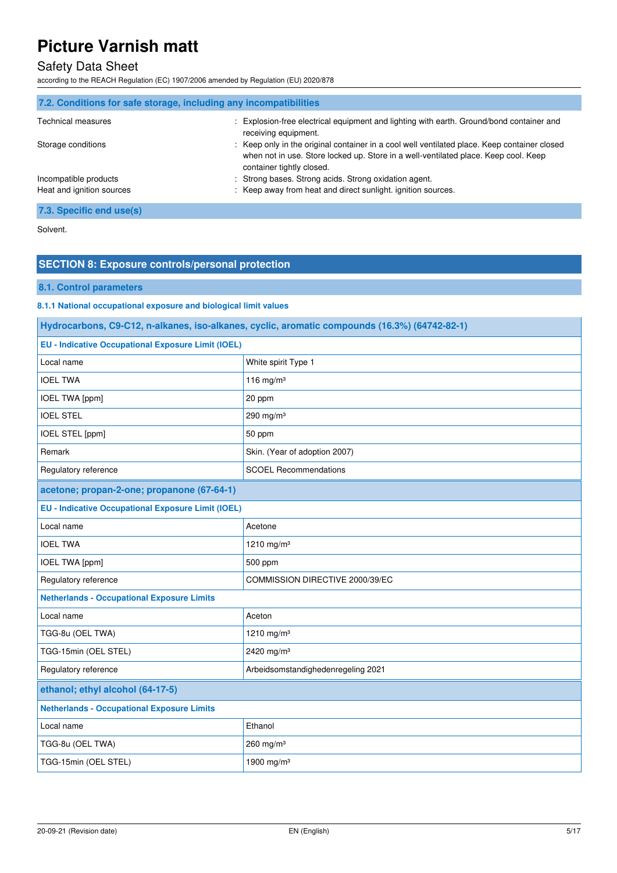### Safety Data Sheet

according to the REACH Regulation (EC) 1907/2006 amended by Regulation (EU) 2020/878

| 7.2. Conditions for safe storage, including any incompatibilities |                                                                                                                                                                                                                  |
|-------------------------------------------------------------------|------------------------------------------------------------------------------------------------------------------------------------------------------------------------------------------------------------------|
| <b>Technical measures</b>                                         | : Explosion-free electrical equipment and lighting with earth. Ground/bond container and<br>receiving equipment.                                                                                                 |
| Storage conditions                                                | : Keep only in the original container in a cool well ventilated place. Keep container closed<br>when not in use. Store locked up. Store in a well-ventilated place. Keep cool. Keep<br>container tightly closed. |
| Incompatible products                                             | : Strong bases. Strong acids. Strong oxidation agent.                                                                                                                                                            |
| Heat and ignition sources                                         | : Keep away from heat and direct sunlight, ignition sources.                                                                                                                                                     |
| 7.3. Specific end use(s)                                          |                                                                                                                                                                                                                  |

Solvent.

### **SECTION 8: Exposure controls/personal protection**

#### **8.1. Control parameters**

**8.1.1 National occupational exposure and biological limit values** 

| Hydrocarbons, C9-C12, n-alkanes, iso-alkanes, cyclic, aromatic compounds (16.3%) (64742-82-1) |                                    |
|-----------------------------------------------------------------------------------------------|------------------------------------|
| <b>EU - Indicative Occupational Exposure Limit (IOEL)</b>                                     |                                    |
| Local name                                                                                    | White spirit Type 1                |
| <b>IOEL TWA</b>                                                                               | 116 mg/m $3$                       |
| <b>IOEL TWA [ppm]</b>                                                                         | 20 ppm                             |
| <b>IOEL STEL</b>                                                                              | 290 mg/m $3$                       |
| IOEL STEL [ppm]                                                                               | 50 ppm                             |
| Remark                                                                                        | Skin. (Year of adoption 2007)      |
| Regulatory reference                                                                          | <b>SCOEL Recommendations</b>       |
| acetone; propan-2-one; propanone (67-64-1)                                                    |                                    |
| <b>EU - Indicative Occupational Exposure Limit (IOEL)</b>                                     |                                    |
| Local name                                                                                    | Acetone                            |
| <b>IOEL TWA</b>                                                                               | 1210 mg/m <sup>3</sup>             |
| <b>IOEL TWA [ppm]</b>                                                                         | 500 ppm                            |
| Regulatory reference                                                                          | COMMISSION DIRECTIVE 2000/39/EC    |
| <b>Netherlands - Occupational Exposure Limits</b>                                             |                                    |
| Local name                                                                                    | Aceton                             |
| TGG-8u (OEL TWA)                                                                              | 1210 mg/m <sup>3</sup>             |
| TGG-15min (OEL STEL)                                                                          | 2420 mg/m <sup>3</sup>             |
| Regulatory reference                                                                          | Arbeidsomstandighedenregeling 2021 |
| ethanol; ethyl alcohol (64-17-5)                                                              |                                    |
| <b>Netherlands - Occupational Exposure Limits</b>                                             |                                    |
| Local name                                                                                    | Ethanol                            |
| TGG-8u (OEL TWA)                                                                              | 260 mg/m <sup>3</sup>              |
| TGG-15min (OEL STEL)                                                                          | 1900 mg/m <sup>3</sup>             |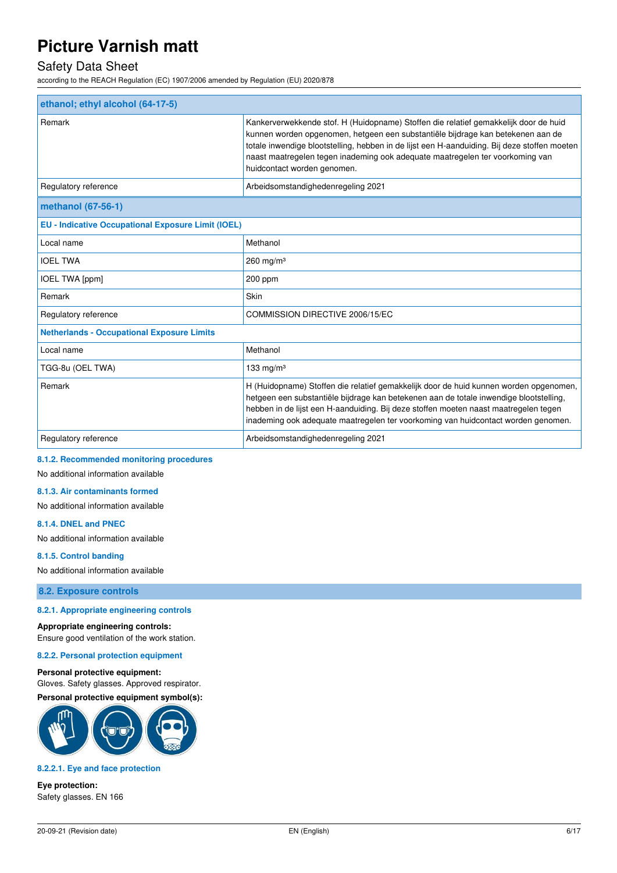### Safety Data Sheet

according to the REACH Regulation (EC) 1907/2006 amended by Regulation (EU) 2020/878

| ethanol; ethyl alcohol (64-17-5)                          |                                                                                                                                                                                                                                                                                                                                                                                         |  |
|-----------------------------------------------------------|-----------------------------------------------------------------------------------------------------------------------------------------------------------------------------------------------------------------------------------------------------------------------------------------------------------------------------------------------------------------------------------------|--|
| Remark                                                    | Kankerverwekkende stof. H (Huidopname) Stoffen die relatief gemakkelijk door de huid<br>kunnen worden opgenomen, hetgeen een substantiële bijdrage kan betekenen aan de<br>totale inwendige blootstelling, hebben in de lijst een H-aanduiding. Bij deze stoffen moeten<br>naast maatregelen tegen inademing ook adequate maatregelen ter voorkoming van<br>huidcontact worden genomen. |  |
| Regulatory reference                                      | Arbeidsomstandighedenregeling 2021                                                                                                                                                                                                                                                                                                                                                      |  |
| methanol (67-56-1)                                        |                                                                                                                                                                                                                                                                                                                                                                                         |  |
| <b>EU - Indicative Occupational Exposure Limit (IOEL)</b> |                                                                                                                                                                                                                                                                                                                                                                                         |  |
| Local name                                                | Methanol                                                                                                                                                                                                                                                                                                                                                                                |  |
| <b>IOEL TWA</b>                                           | 260 mg/m $3$                                                                                                                                                                                                                                                                                                                                                                            |  |
| IOEL TWA [ppm]                                            | 200 ppm                                                                                                                                                                                                                                                                                                                                                                                 |  |
| Remark                                                    | Skin                                                                                                                                                                                                                                                                                                                                                                                    |  |
| Regulatory reference                                      | COMMISSION DIRECTIVE 2006/15/EC                                                                                                                                                                                                                                                                                                                                                         |  |
| <b>Netherlands - Occupational Exposure Limits</b>         |                                                                                                                                                                                                                                                                                                                                                                                         |  |
| Local name                                                | Methanol                                                                                                                                                                                                                                                                                                                                                                                |  |
| TGG-8u (OEL TWA)                                          | 133 mg/m $3$                                                                                                                                                                                                                                                                                                                                                                            |  |
| Remark                                                    | H (Huidopname) Stoffen die relatief gemakkelijk door de huid kunnen worden opgenomen,                                                                                                                                                                                                                                                                                                   |  |

| Regulatory reference | Arbeidsomstandighedenregeling 2021                                                                                                                                        |
|----------------------|---------------------------------------------------------------------------------------------------------------------------------------------------------------------------|
|                      | hebben in de lijst een H-aanduiding. Bij deze stoffen moeten naast maatregelen tegen<br>inademing ook adequate maatregelen ter voorkoming van huidcontact worden genomen. |
|                      | hetgeen een substantiële bijdrage kan betekenen aan de totale inwendige blootstelling,                                                                                    |

#### **8.1.2. Recommended monitoring procedures**

No additional information available

#### **8.1.3. Air contaminants formed**

No additional information available

#### **8.1.4. DNEL and PNEC**

No additional information available

#### **8.1.5. Control banding**

No additional information available

**8.2. Exposure controls** 

#### **8.2.1. Appropriate engineering controls**

#### **Appropriate engineering controls:**

Ensure good ventilation of the work station.

**8.2.2. Personal protection equipment** 

#### **Personal protective equipment:**

Gloves. Safety glasses. Approved respirator. **Personal protective equipment symbol(s):** 



#### **8.2.2.1. Eye and face protection**

**Eye protection:**  Safety glasses. EN 166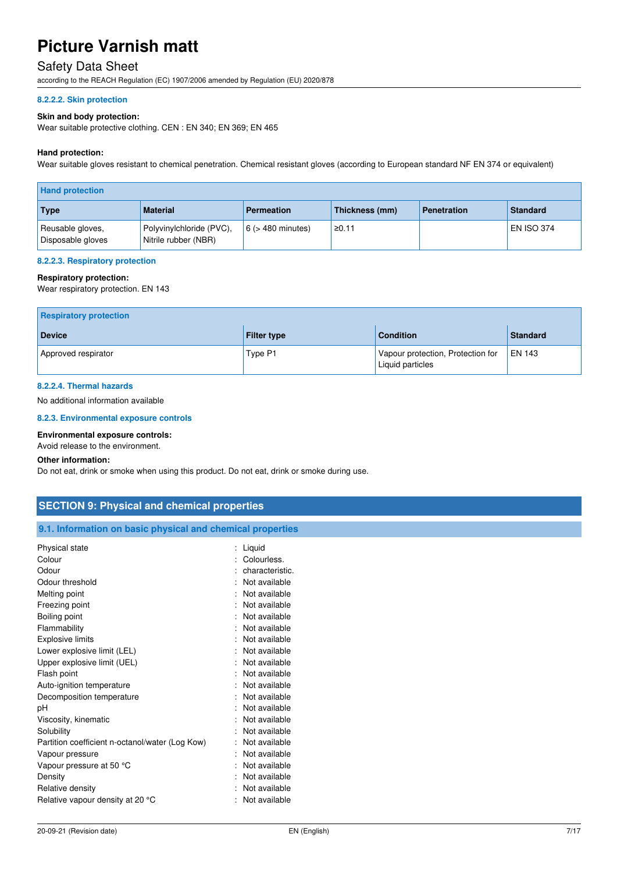### Safety Data Sheet

according to the REACH Regulation (EC) 1907/2006 amended by Regulation (EU) 2020/878

#### **8.2.2.2. Skin protection**

#### **Skin and body protection:**

Wear suitable protective clothing. CEN : EN 340; EN 369; EN 465

#### **Hand protection:**

Wear suitable gloves resistant to chemical penetration. Chemical resistant gloves (according to European standard NF EN 374 or equivalent)

| <b>Hand protection</b>                |                                                  |                        |                |                    |                   |
|---------------------------------------|--------------------------------------------------|------------------------|----------------|--------------------|-------------------|
| <b>Type</b>                           | <b>Material</b>                                  | <b>Permeation</b>      | Thickness (mm) | <b>Penetration</b> | <b>Standard</b>   |
| Reusable gloves,<br>Disposable gloves | Polyvinylchloride (PVC),<br>Nitrile rubber (NBR) | $6$ ( $>$ 480 minutes) | ≥0.11          |                    | <b>EN ISO 374</b> |

#### **8.2.2.3. Respiratory protection**

#### **Respiratory protection:**

Wear respiratory protection. EN 143

| <b>Respiratory protection</b> |                    |                                                       |                 |
|-------------------------------|--------------------|-------------------------------------------------------|-----------------|
| <b>Device</b>                 | <b>Filter type</b> | <b>Condition</b>                                      | <b>Standard</b> |
| Approved respirator           | Type P1            | Vapour protection, Protection for<br>Liquid particles | $EN$ 143        |

#### **8.2.2.4. Thermal hazards**

No additional information available

#### **8.2.3. Environmental exposure controls**

#### **Environmental exposure controls:**

Avoid release to the environment.

#### **Other information:**

Do not eat, drink or smoke when using this product. Do not eat, drink or smoke during use.

| <b>SECTION 9: Physical and chemical properties</b>         |                     |
|------------------------------------------------------------|---------------------|
| 9.1. Information on basic physical and chemical properties |                     |
| Physical state                                             | : Liquid            |
| Colour                                                     | : Colourless.       |
| Odour                                                      | characteristic.     |
| Odour threshold                                            | : Not available     |
| Melting point                                              | Not available       |
| Freezing point                                             | : Not available     |
| Boiling point                                              | Not available       |
| Flammability                                               | : Not available     |
| <b>Explosive limits</b>                                    | : Not available     |
| Lower explosive limit (LEL)                                | Not available       |
| Upper explosive limit (UEL)                                | : Not available     |
| Flash point                                                | Not available       |
| Auto-ignition temperature                                  | : Not available     |
| Decomposition temperature                                  | Not available       |
| pH                                                         | Not available<br>٠. |
| Viscosity, kinematic                                       | Not available       |
| Solubility                                                 | Not available       |
| Partition coefficient n-octanol/water (Log Kow)            | : Not available     |
| Vapour pressure                                            | : Not available     |
| Vapour pressure at 50 °C                                   | : Not available     |
| Density                                                    | Not available       |
| Relative density                                           | Not available<br>۰. |
| Relative vapour density at 20 °C                           | : Not available     |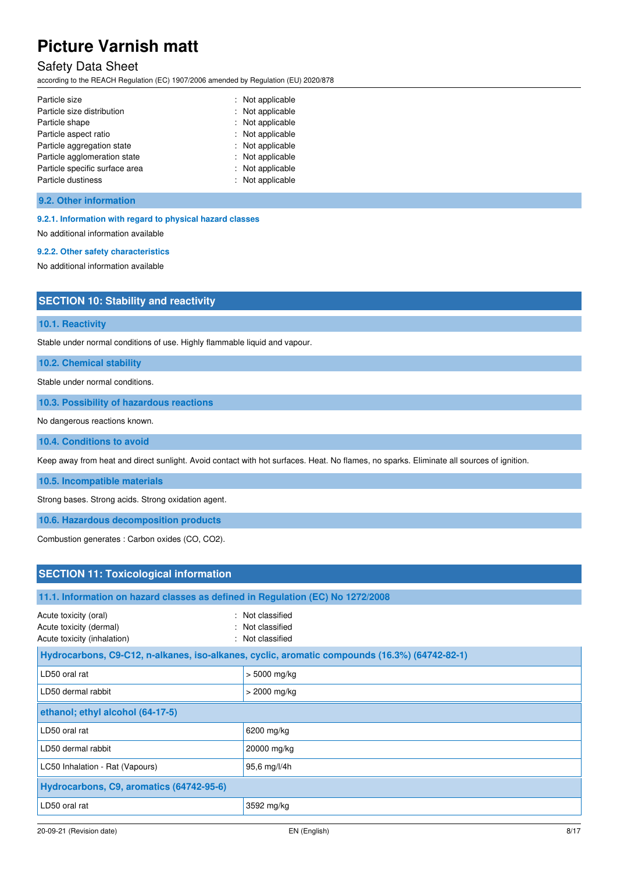### Safety Data Sheet

according to the REACH Regulation (EC) 1907/2006 amended by Regulation (EU) 2020/878

| Particle size                  | : Not applicable |
|--------------------------------|------------------|
| Particle size distribution     | : Not applicable |
| Particle shape                 | : Not applicable |
| Particle aspect ratio          | : Not applicable |
| Particle aggregation state     | : Not applicable |
| Particle agglomeration state   | : Not applicable |
| Particle specific surface area | : Not applicable |
| Particle dustiness             | : Not applicable |

**9.2. Other information** 

#### **9.2.1. Information with regard to physical hazard classes**

No additional information available

### **9.2.2. Other safety characteristics**

No additional information available

### **SECTION 10: Stability and reactivity**

**10.1. Reactivity** 

Stable under normal conditions of use. Highly flammable liquid and vapour.

**10.2. Chemical stability** 

Stable under normal conditions.

**10.3. Possibility of hazardous reactions** 

No dangerous reactions known.

**10.4. Conditions to avoid** 

Keep away from heat and direct sunlight. Avoid contact with hot surfaces. Heat. No flames, no sparks. Eliminate all sources of ignition.

**10.5. Incompatible materials** 

Strong bases. Strong acids. Strong oxidation agent.

**10.6. Hazardous decomposition products** 

Combustion generates : Carbon oxides (CO, CO2).

| <b>SECTION 11: Toxicological information</b>                                    |                                                                                               |  |  |
|---------------------------------------------------------------------------------|-----------------------------------------------------------------------------------------------|--|--|
|                                                                                 | 11.1. Information on hazard classes as defined in Regulation (EC) No 1272/2008                |  |  |
| Acute toxicity (oral)<br>Acute toxicity (dermal)<br>Acute toxicity (inhalation) | : Not classified<br>: Not classified<br>: Not classified                                      |  |  |
|                                                                                 | Hydrocarbons, C9-C12, n-alkanes, iso-alkanes, cyclic, aromatic compounds (16.3%) (64742-82-1) |  |  |
| LD50 oral rat                                                                   | $> 5000$ mg/kg                                                                                |  |  |
| LD50 dermal rabbit                                                              | $>$ 2000 mg/kg                                                                                |  |  |
| ethanol; ethyl alcohol (64-17-5)                                                |                                                                                               |  |  |
| LD50 oral rat                                                                   | 6200 mg/kg                                                                                    |  |  |
| LD50 dermal rabbit                                                              | 20000 mg/kg                                                                                   |  |  |
| LC50 Inhalation - Rat (Vapours)                                                 | 95,6 mg/l/4h                                                                                  |  |  |
| Hydrocarbons, C9, aromatics (64742-95-6)                                        |                                                                                               |  |  |
| LD50 oral rat                                                                   | 3592 mg/kg                                                                                    |  |  |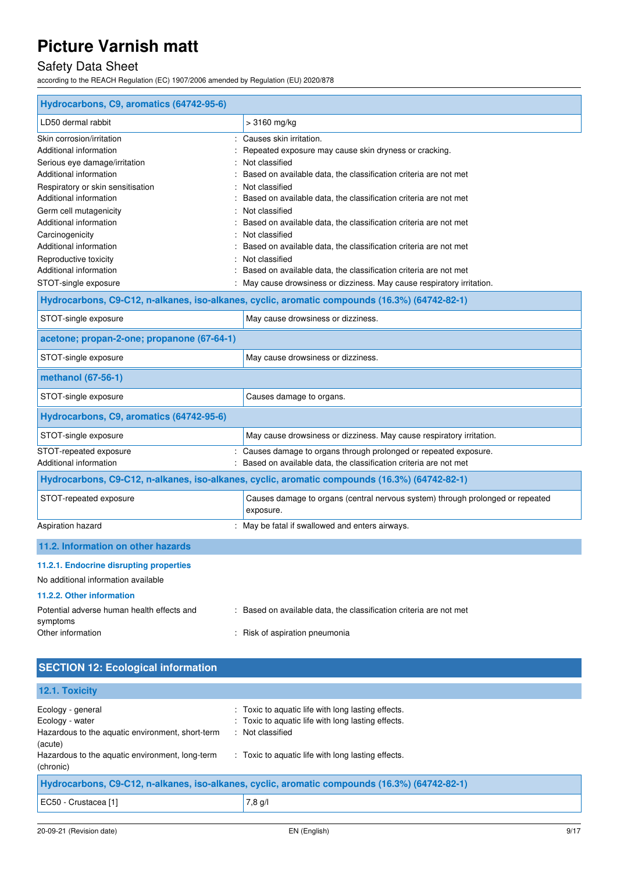# Safety Data Sheet

according to the REACH Regulation (EC) 1907/2006 amended by Regulation (EU) 2020/878

| Hydrocarbons, C9, aromatics (64742-95-6)               |                                                                                               |
|--------------------------------------------------------|-----------------------------------------------------------------------------------------------|
| LD50 dermal rabbit                                     | $>3160$ mg/kg                                                                                 |
| Skin corrosion/irritation                              | Causes skin irritation.                                                                       |
| Additional information                                 | Repeated exposure may cause skin dryness or cracking.                                         |
| Serious eye damage/irritation                          | Not classified                                                                                |
| Additional information                                 | Based on available data, the classification criteria are not met                              |
| Respiratory or skin sensitisation                      | Not classified                                                                                |
| Additional information                                 | Based on available data, the classification criteria are not met                              |
| Germ cell mutagenicity                                 | Not classified                                                                                |
| Additional information                                 | Based on available data, the classification criteria are not met                              |
| Carcinogenicity                                        | Not classified                                                                                |
| Additional information                                 | Based on available data, the classification criteria are not met                              |
| Reproductive toxicity                                  | Not classified<br>÷                                                                           |
| Additional information                                 | Based on available data, the classification criteria are not met                              |
| STOT-single exposure                                   | May cause drowsiness or dizziness. May cause respiratory irritation.                          |
|                                                        | Hydrocarbons, C9-C12, n-alkanes, iso-alkanes, cyclic, aromatic compounds (16.3%) (64742-82-1) |
| STOT-single exposure                                   | May cause drowsiness or dizziness.                                                            |
| acetone; propan-2-one; propanone (67-64-1)             |                                                                                               |
| STOT-single exposure                                   | May cause drowsiness or dizziness.                                                            |
| methanol (67-56-1)                                     |                                                                                               |
| STOT-single exposure                                   | Causes damage to organs.                                                                      |
| Hydrocarbons, C9, aromatics (64742-95-6)               |                                                                                               |
| STOT-single exposure                                   | May cause drowsiness or dizziness. May cause respiratory irritation.                          |
| STOT-repeated exposure                                 | Causes damage to organs through prolonged or repeated exposure.                               |
| Additional information                                 | Based on available data, the classification criteria are not met                              |
|                                                        | Hydrocarbons, C9-C12, n-alkanes, iso-alkanes, cyclic, aromatic compounds (16.3%) (64742-82-1) |
| STOT-repeated exposure                                 | Causes damage to organs (central nervous system) through prolonged or repeated<br>exposure.   |
| Aspiration hazard                                      | : May be fatal if swallowed and enters airways.                                               |
| 11.2. Information on other hazards                     |                                                                                               |
| 11.2.1. Endocrine disrupting properties                |                                                                                               |
| No additional information available                    |                                                                                               |
| 11.2.2. Other information                              |                                                                                               |
| Potential adverse human health effects and<br>symptoms | Based on available data, the classification criteria are not met                              |
| Other information                                      | : Risk of aspiration pneumonia                                                                |

| <b>SECTION 12: Ecological information</b>                                                                                                              |                                                                                                                                                                                    |
|--------------------------------------------------------------------------------------------------------------------------------------------------------|------------------------------------------------------------------------------------------------------------------------------------------------------------------------------------|
| 12.1. Toxicity                                                                                                                                         |                                                                                                                                                                                    |
| Ecology - general<br>Ecology - water<br>Hazardous to the aquatic environment, short-term<br>(acute)<br>Hazardous to the aquatic environment, long-term | : Toxic to aquatic life with long lasting effects.<br>: Toxic to aquatic life with long lasting effects.<br>: Not classified<br>: Toxic to aquatic life with long lasting effects. |
| (chronic)                                                                                                                                              | Hydrocarbons, C9-C12, n-alkanes, iso-alkanes, cyclic, aromatic compounds (16.3%) (64742-82-1)                                                                                      |
| EC50 - Crustacea [1]                                                                                                                                   | 7,8 g/l                                                                                                                                                                            |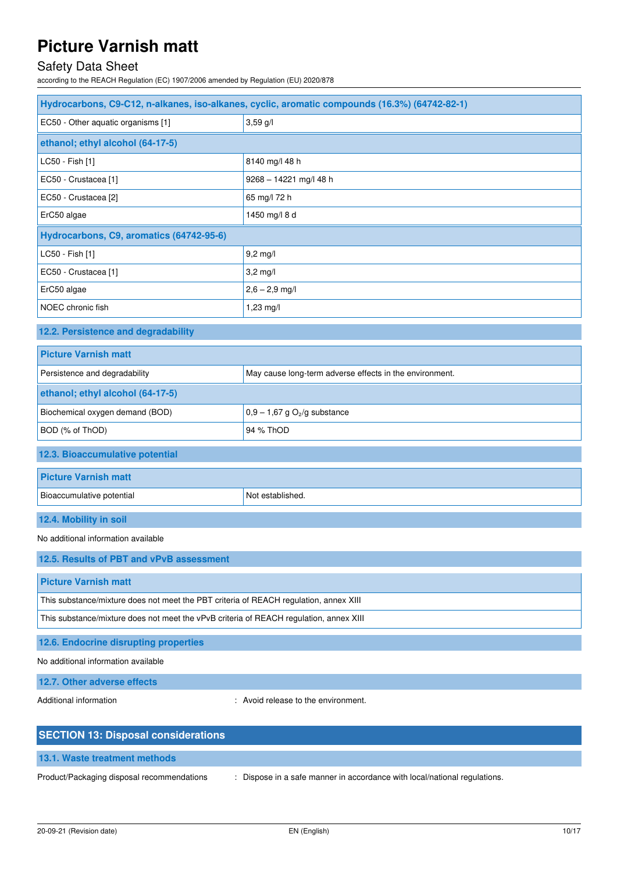# Safety Data Sheet

according to the REACH Regulation (EC) 1907/2006 amended by Regulation (EU) 2020/878

| Hydrocarbons, C9-C12, n-alkanes, iso-alkanes, cyclic, aromatic compounds (16.3%) (64742-82-1) |                                                         |  |
|-----------------------------------------------------------------------------------------------|---------------------------------------------------------|--|
| EC50 - Other aquatic organisms [1]                                                            | $3,59$ g/l                                              |  |
| ethanol; ethyl alcohol (64-17-5)                                                              |                                                         |  |
| LC50 - Fish [1]                                                                               | 8140 mg/l 48 h                                          |  |
| EC50 - Crustacea [1]                                                                          | $9268 - 14221$ mg/l 48 h                                |  |
| EC50 - Crustacea [2]                                                                          | 65 mg/l 72 h                                            |  |
| ErC50 algae                                                                                   | 1450 mg/l 8 d                                           |  |
| Hydrocarbons, C9, aromatics (64742-95-6)                                                      |                                                         |  |
| LC50 - Fish [1]                                                                               | $9,2$ mg/l                                              |  |
| EC50 - Crustacea [1]                                                                          | $3,2$ mg/l                                              |  |
| ErC50 algae                                                                                   | $2,6 - 2,9$ mg/l                                        |  |
| NOEC chronic fish                                                                             | 1,23 mg/l                                               |  |
| 12.2. Persistence and degradability                                                           |                                                         |  |
| <b>Picture Varnish matt</b>                                                                   |                                                         |  |
| Persistence and degradability                                                                 | May cause long-term adverse effects in the environment. |  |
| ethanol; ethyl alcohol (64-17-5)                                                              |                                                         |  |
| Biochemical oxygen demand (BOD)                                                               | $0,9 - 1,67$ g O <sub>2</sub> /g substance              |  |
| BOD (% of ThOD)                                                                               | 94 % ThOD                                               |  |
| 12.3. Bioaccumulative potential                                                               |                                                         |  |
| <b>Picture Varnish matt</b>                                                                   |                                                         |  |
| Bioaccumulative potential                                                                     | Not established.                                        |  |
| 12.4. Mobility in soil                                                                        |                                                         |  |
| No additional information available                                                           |                                                         |  |
| 12.5. Results of PBT and vPvB assessment                                                      |                                                         |  |
| <b>Picture Varnish matt</b>                                                                   |                                                         |  |
| This substance/mixture does not meet the PBT criteria of REACH regulation, annex XIII         |                                                         |  |
| This substance/mixture does not meet the vPvB criteria of REACH regulation, annex XIII        |                                                         |  |
| 12.6. Endocrine disrupting properties                                                         |                                                         |  |
| No additional information available                                                           |                                                         |  |
| 12.7. Other adverse effects                                                                   |                                                         |  |

Additional information **interval information** : Avoid release to the environment.

| <b>SECTION 13: Disposal considerations</b> |                                                                           |  |
|--------------------------------------------|---------------------------------------------------------------------------|--|
| 13.1. Waste treatment methods              |                                                                           |  |
| Product/Packaging disposal recommendations | : Dispose in a safe manner in accordance with local/national regulations. |  |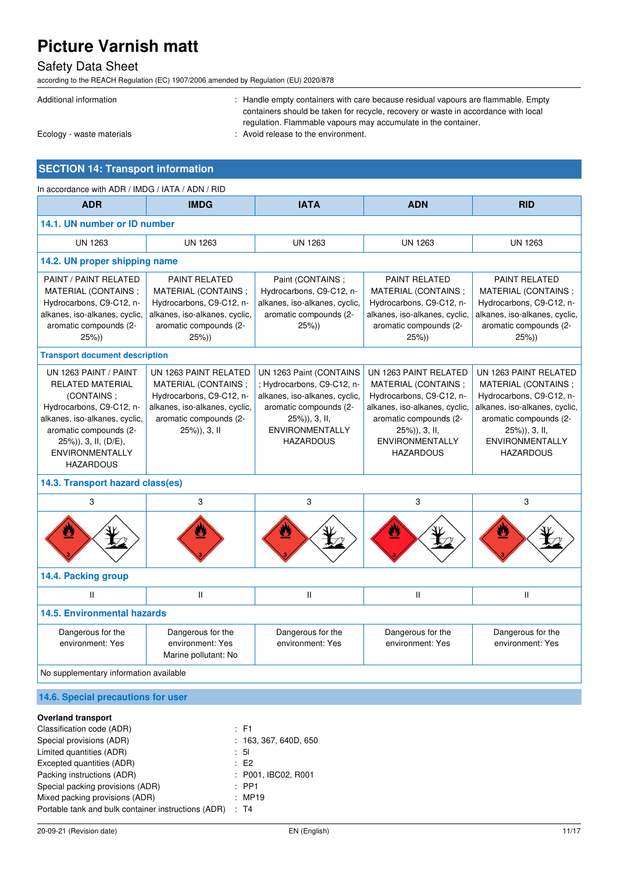### Safety Data Sheet

according to the REACH Regulation (EC) 1907/2006 amended by Regulation (EU) 2020/878

| Additional information    | : Handle empty containers with care because residual vapours are flammable. Empty<br>containers should be taken for recycle, recovery or waste in accordance with local<br>regulation. Flammable vapours may accumulate in the container. |
|---------------------------|-------------------------------------------------------------------------------------------------------------------------------------------------------------------------------------------------------------------------------------------|
| Ecology - waste materials | : Avoid release to the environment.                                                                                                                                                                                                       |
|                           |                                                                                                                                                                                                                                           |

### **SECTION 14: Transport information**

| In accordance with ADR / IMDG / IATA / ADN / RID                                                                                                                                                                               |                                                                                                                                                     |                                                                                                                                                                                 |                                                                                                                                                                                                    |                                                                                                                                                                                                     |  |  |
|--------------------------------------------------------------------------------------------------------------------------------------------------------------------------------------------------------------------------------|-----------------------------------------------------------------------------------------------------------------------------------------------------|---------------------------------------------------------------------------------------------------------------------------------------------------------------------------------|----------------------------------------------------------------------------------------------------------------------------------------------------------------------------------------------------|-----------------------------------------------------------------------------------------------------------------------------------------------------------------------------------------------------|--|--|
| <b>ADR</b>                                                                                                                                                                                                                     | <b>IMDG</b>                                                                                                                                         | <b>IATA</b>                                                                                                                                                                     | <b>ADN</b>                                                                                                                                                                                         | <b>RID</b>                                                                                                                                                                                          |  |  |
|                                                                                                                                                                                                                                | 14.1. UN number or ID number                                                                                                                        |                                                                                                                                                                                 |                                                                                                                                                                                                    |                                                                                                                                                                                                     |  |  |
| <b>UN 1263</b>                                                                                                                                                                                                                 | <b>UN 1263</b>                                                                                                                                      | <b>UN 1263</b>                                                                                                                                                                  | <b>UN 1263</b>                                                                                                                                                                                     | <b>UN 1263</b>                                                                                                                                                                                      |  |  |
| 14.2. UN proper shipping name                                                                                                                                                                                                  |                                                                                                                                                     |                                                                                                                                                                                 |                                                                                                                                                                                                    |                                                                                                                                                                                                     |  |  |
| PAINT / PAINT RELATED<br>MATERIAL (CONTAINS ;<br>Hydrocarbons, C9-C12, n-<br>alkanes, iso-alkanes, cyclic,<br>aromatic compounds (2-<br>25%)                                                                                   | <b>PAINT RELATED</b><br>MATERIAL (CONTAINS ;<br>Hydrocarbons, C9-C12, n-<br>alkanes, iso-alkanes, cyclic,<br>aromatic compounds (2-<br>25%)         | Paint (CONTAINS;<br>Hydrocarbons, C9-C12, n-<br>alkanes, iso-alkanes, cyclic,<br>aromatic compounds (2-<br>25%)                                                                 | <b>PAINT RELATED</b><br>MATERIAL (CONTAINS ;<br>Hydrocarbons, C9-C12, n-<br>alkanes, iso-alkanes, cyclic,<br>aromatic compounds (2-<br>25%)                                                        | <b>PAINT RELATED</b><br>MATERIAL (CONTAINS;<br>Hydrocarbons, C9-C12, n-<br>alkanes, iso-alkanes, cyclic,<br>aromatic compounds (2-<br>25%)                                                          |  |  |
| <b>Transport document description</b>                                                                                                                                                                                          |                                                                                                                                                     |                                                                                                                                                                                 |                                                                                                                                                                                                    |                                                                                                                                                                                                     |  |  |
| UN 1263 PAINT / PAINT<br><b>RELATED MATERIAL</b><br>(CONTAINS;<br>Hydrocarbons, C9-C12, n-<br>alkanes, iso-alkanes, cyclic,<br>aromatic compounds (2-<br>$25\%)$ , 3, II, (D/E),<br><b>ENVIRONMENTALLY</b><br><b>HAZARDOUS</b> | UN 1263 PAINT RELATED<br>MATERIAL (CONTAINS;<br>Hydrocarbons, C9-C12, n-<br>alkanes, iso-alkanes, cyclic,<br>aromatic compounds (2-<br>25%)), 3, II | UN 1263 Paint (CONTAINS<br>; Hydrocarbons, C9-C12, n-<br>alkanes, iso-alkanes, cyclic,<br>aromatic compounds (2-<br>25%)), 3, II,<br><b>ENVIRONMENTALLY</b><br><b>HAZARDOUS</b> | UN 1263 PAINT RELATED<br>MATERIAL (CONTAINS;<br>Hydrocarbons, C9-C12, n-<br>alkanes, iso-alkanes, cyclic,<br>aromatic compounds (2-<br>25%)), 3, II,<br><b>ENVIRONMENTALLY</b><br><b>HAZARDOUS</b> | UN 1263 PAINT RELATED<br>MATERIAL (CONTAINS ;<br>Hydrocarbons, C9-C12, n-<br>alkanes, iso-alkanes, cyclic,<br>aromatic compounds (2-<br>25%)), 3, II,<br><b>ENVIRONMENTALLY</b><br><b>HAZARDOUS</b> |  |  |
| 14.3. Transport hazard class(es)                                                                                                                                                                                               |                                                                                                                                                     |                                                                                                                                                                                 |                                                                                                                                                                                                    |                                                                                                                                                                                                     |  |  |
| 3                                                                                                                                                                                                                              | 3                                                                                                                                                   | 3                                                                                                                                                                               | $\mathbf{3}$                                                                                                                                                                                       | 3                                                                                                                                                                                                   |  |  |
|                                                                                                                                                                                                                                |                                                                                                                                                     |                                                                                                                                                                                 |                                                                                                                                                                                                    |                                                                                                                                                                                                     |  |  |
| 14.4. Packing group                                                                                                                                                                                                            |                                                                                                                                                     |                                                                                                                                                                                 |                                                                                                                                                                                                    |                                                                                                                                                                                                     |  |  |
| $\mathbf{H}$                                                                                                                                                                                                                   | $\mathbf{II}$                                                                                                                                       | $\mathbf{II}$                                                                                                                                                                   | $\mathbf{H}$                                                                                                                                                                                       | $\mathbf{H}$                                                                                                                                                                                        |  |  |
| <b>14.5. Environmental hazards</b>                                                                                                                                                                                             |                                                                                                                                                     |                                                                                                                                                                                 |                                                                                                                                                                                                    |                                                                                                                                                                                                     |  |  |
| Dangerous for the<br>environment: Yes                                                                                                                                                                                          | Dangerous for the<br>environment: Yes<br>Marine pollutant: No                                                                                       | Dangerous for the<br>environment: Yes                                                                                                                                           | Dangerous for the<br>environment: Yes                                                                                                                                                              | Dangerous for the<br>environment: Yes                                                                                                                                                               |  |  |
| No supplementary information available                                                                                                                                                                                         |                                                                                                                                                     |                                                                                                                                                                                 |                                                                                                                                                                                                    |                                                                                                                                                                                                     |  |  |

### **14.6. Special precautions for user**

#### **Overland transport**

| Classification code (ADR)                           | $\therefore$ F1       |
|-----------------------------------------------------|-----------------------|
| Special provisions (ADR)                            | : 163, 367, 640D, 650 |
| Limited quantities (ADR)                            | : 51                  |
| Excepted quantities (ADR)                           | $\pm$ E2              |
| Packing instructions (ADR)                          | : P001, IBC02, R001   |
| Special packing provisions (ADR)                    | $:$ PP1               |
| Mixed packing provisions (ADR)                      | :MP19                 |
| Portable tank and bulk container instructions (ADR) | : T4                  |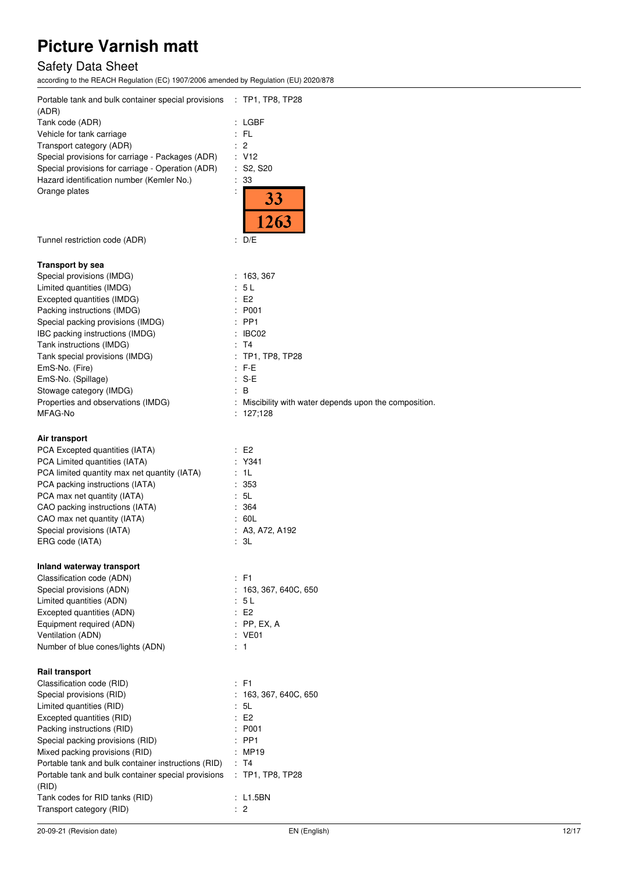# Safety Data Sheet

according to the REACH Regulation (EC) 1907/2006 amended by Regulation (EU) 2020/878

| Portable tank and bulk container special provisions : TP1, TP8, TP28<br>(ADR)                              |                                                        |
|------------------------------------------------------------------------------------------------------------|--------------------------------------------------------|
| Tank code (ADR)                                                                                            | : LGBF                                                 |
| Vehicle for tank carriage                                                                                  | : FL                                                   |
| Transport category (ADR)                                                                                   | $\therefore$ 2                                         |
| Special provisions for carriage - Packages (ADR)                                                           | : V12                                                  |
| Special provisions for carriage - Operation (ADR)                                                          | : S2, S20                                              |
| Hazard identification number (Kemler No.)                                                                  | : 33                                                   |
| Orange plates                                                                                              | 33                                                     |
|                                                                                                            |                                                        |
|                                                                                                            | 263                                                    |
| Tunnel restriction code (ADR)                                                                              | : D/E                                                  |
| <b>Transport by sea</b>                                                                                    |                                                        |
| Special provisions (IMDG)                                                                                  | : 163,367                                              |
| Limited quantities (IMDG)                                                                                  | : 5L                                                   |
| Excepted quantities (IMDG)                                                                                 | E2                                                     |
| Packing instructions (IMDG)                                                                                | : P001                                                 |
| Special packing provisions (IMDG)                                                                          | $:$ PP1                                                |
| IBC packing instructions (IMDG)<br>Tank instructions (IMDG)                                                | : IBCO2<br>: T4                                        |
| Tank special provisions (IMDG)                                                                             | : TP1, TP8, TP28                                       |
| EmS-No. (Fire)                                                                                             | : F-E                                                  |
| EmS-No. (Spillage)                                                                                         | $: S-E$                                                |
| Stowage category (IMDG)                                                                                    | $\therefore$ B                                         |
| Properties and observations (IMDG)                                                                         | : Miscibility with water depends upon the composition. |
| MFAG-No                                                                                                    | : 127,128                                              |
| Air transport                                                                                              |                                                        |
| PCA Excepted quantities (IATA)                                                                             | E2                                                     |
| PCA Limited quantities (IATA)                                                                              | : Y341                                                 |
| PCA limited quantity max net quantity (IATA)                                                               | : 1L<br>:353                                           |
| PCA packing instructions (IATA)<br>PCA max net quantity (IATA)                                             | : 5L                                                   |
| CAO packing instructions (IATA)                                                                            | : 364                                                  |
| CAO max net quantity (IATA)                                                                                | : 60L                                                  |
| Special provisions (IATA)                                                                                  | : A3, A72, A192                                        |
| ERG code (IATA)                                                                                            | : 3L                                                   |
| Inland waterway transport                                                                                  |                                                        |
| Classification code (ADN)                                                                                  | $\div$ F1                                              |
| Special provisions (ADN)                                                                                   | : 163, 367, 640C, 650                                  |
| Limited quantities (ADN)                                                                                   | : 5L<br>E2                                             |
| Excepted quantities (ADN)<br>Equipment required (ADN)                                                      | $:$ PP, EX, A                                          |
| Ventilation (ADN)                                                                                          | : VE01                                                 |
| Number of blue cones/lights (ADN)                                                                          | $\therefore$ 1                                         |
| Rail transport                                                                                             |                                                        |
| Classification code (RID)                                                                                  | $\therefore$ F1                                        |
| Special provisions (RID)                                                                                   | : 163, 367, 640C, 650                                  |
| Limited quantities (RID)                                                                                   | : 5L                                                   |
| Excepted quantities (RID)                                                                                  | E2                                                     |
| Packing instructions (RID)                                                                                 | : P001                                                 |
| Special packing provisions (RID)                                                                           | $:$ PP1                                                |
| Mixed packing provisions (RID)                                                                             | : MP19                                                 |
| Portable tank and bulk container instructions (RID)<br>Portable tank and bulk container special provisions | : T4<br>$:$ TP1, TP8, TP28                             |
| (RID)                                                                                                      |                                                        |
| Tank codes for RID tanks (RID)                                                                             | : L1.5BN                                               |
| Transport category (RID)                                                                                   | : 2                                                    |
|                                                                                                            |                                                        |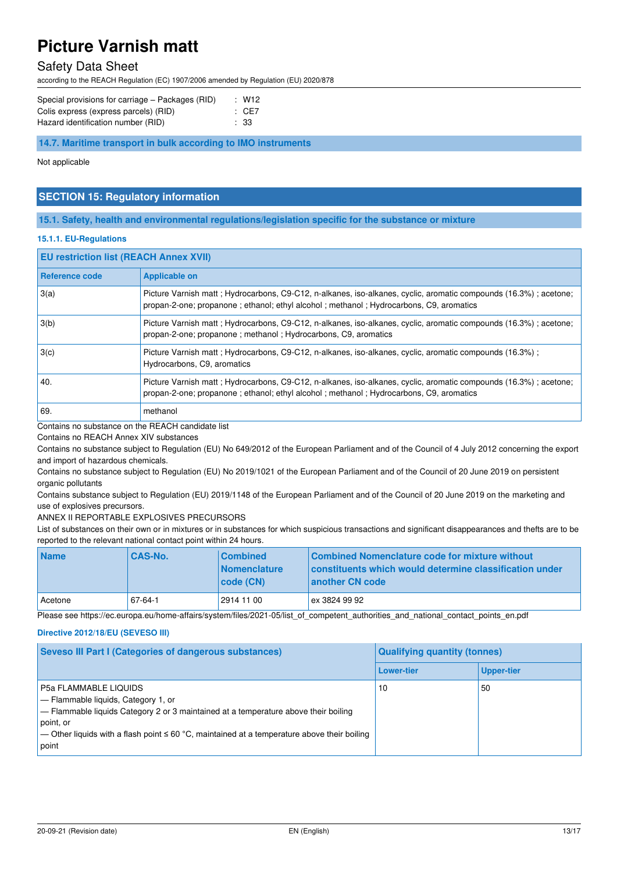### Safety Data Sheet

according to the REACH Regulation (EC) 1907/2006 amended by Regulation (EU) 2020/878

| Special provisions for carriage – Packages (RID) | : W12 |
|--------------------------------------------------|-------|
| Colis express (express parcels) (RID)            | : CE7 |
| Hazard identification number (RID)               | : 33  |

**14.7. Maritime transport in bulk according to IMO instruments** 

Not applicable

#### **SECTION 15: Regulatory information**

#### **15.1. Safety, health and environmental regulations/legislation specific for the substance or mixture**

#### **15.1.1. EU-Regulations**

#### **EU restriction list (REACH Annex XVII)**

| Reference code | <b>Applicable on</b>                                                                                                                                                                                         |
|----------------|--------------------------------------------------------------------------------------------------------------------------------------------------------------------------------------------------------------|
| 3(a)           | Picture Varnish matt ; Hydrocarbons, C9-C12, n-alkanes, iso-alkanes, cyclic, aromatic compounds (16.3%) ; acetone;<br>propan-2-one; propanone; ethanol; ethyl alcohol; methanol; Hydrocarbons, C9, aromatics |
| 3(b)           | Picture Varnish matt; Hydrocarbons, C9-C12, n-alkanes, iso-alkanes, cyclic, aromatic compounds (16.3%); acetone;<br>propan-2-one; propanone; methanol; Hydrocarbons, C9, aromatics                           |
| 3(c)           | Picture Varnish matt; Hydrocarbons, C9-C12, n-alkanes, iso-alkanes, cyclic, aromatic compounds (16.3%);<br>Hydrocarbons, C9, aromatics                                                                       |
| 40.            | Picture Varnish matt; Hydrocarbons, C9-C12, n-alkanes, iso-alkanes, cyclic, aromatic compounds (16.3%); acetone;<br>propan-2-one; propanone; ethanol; ethyl alcohol; methanol; Hydrocarbons, C9, aromatics   |
| 69.            | methanol                                                                                                                                                                                                     |

Contains no substance on the REACH candidate list

Contains no REACH Annex XIV substances

Contains no substance subject to Regulation (EU) No 649/2012 of the European Parliament and of the Council of 4 July 2012 concerning the export and import of hazardous chemicals.

Contains no substance subject to Regulation (EU) No 2019/1021 of the European Parliament and of the Council of 20 June 2019 on persistent organic pollutants

Contains substance subject to Regulation (EU) 2019/1148 of the European Parliament and of the Council of 20 June 2019 on the marketing and use of explosives precursors.

ANNEX II REPORTABLE EXPLOSIVES PRECURSORS

List of substances on their own or in mixtures or in substances for which suspicious transactions and significant disappearances and thefts are to be reported to the relevant national contact point within 24 hours.

| <b>Name</b> | <b>CAS-No.</b> | <b>Combined</b><br><b>Nomenclature</b><br>  code (CN) | Combined Nomenclature code for mixture without<br>constituents which would determine classification under<br>another CN code |
|-------------|----------------|-------------------------------------------------------|------------------------------------------------------------------------------------------------------------------------------|
| Acetone     | 67-64-1        | 2914 11 00                                            | ex 3824 99 92                                                                                                                |

Please see https://ec.europa.eu/home-affairs/system/files/2021-05/list\_of\_competent\_authorities\_and\_national\_contact\_points\_en.pdf

#### **Directive 2012/18/EU (SEVESO III)**

| <b>Seveso III Part I (Categories of dangerous substances)</b>                                                                                                                                                                                                                               | <b>Qualifying quantity (tonnes)</b> |                   |  |
|---------------------------------------------------------------------------------------------------------------------------------------------------------------------------------------------------------------------------------------------------------------------------------------------|-------------------------------------|-------------------|--|
|                                                                                                                                                                                                                                                                                             | <b>Lower-tier</b>                   | <b>Upper-tier</b> |  |
| <b>P5a FLAMMABLE LIQUIDS</b><br>$\Box$ Flammable liquids, Category 1, or<br>$-$ Flammable liquids Category 2 or 3 maintained at a temperature above their boiling<br>point, or<br>$\sim$ Other liquids with a flash point ≤ 60 °C, maintained at a temperature above their boiling<br>point | 10                                  | -50               |  |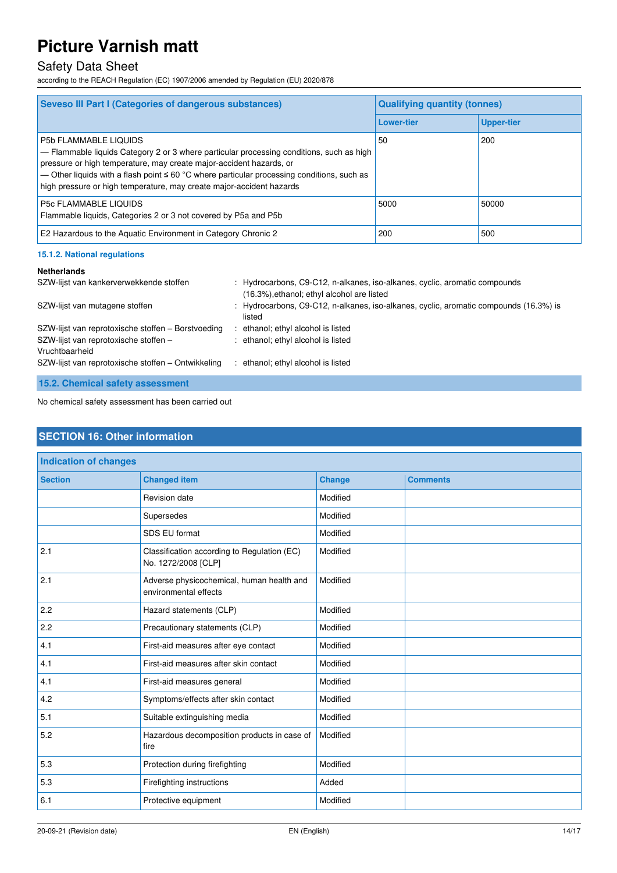### Safety Data Sheet

according to the REACH Regulation (EC) 1907/2006 amended by Regulation (EU) 2020/878

| <b>Seveso III Part I (Categories of dangerous substances)</b>                                                                                                                                                                                                                                                                                                       | <b>Qualifying quantity (tonnes)</b> |                   |  |
|---------------------------------------------------------------------------------------------------------------------------------------------------------------------------------------------------------------------------------------------------------------------------------------------------------------------------------------------------------------------|-------------------------------------|-------------------|--|
|                                                                                                                                                                                                                                                                                                                                                                     | <b>Lower-tier</b>                   | <b>Upper-tier</b> |  |
| P5b FLAMMABLE LIQUIDS<br>- Flammable liquids Category 2 or 3 where particular processing conditions, such as high<br>pressure or high temperature, may create major-accident hazards, or<br>— Other liquids with a flash point $\leq 60$ °C where particular processing conditions, such as<br>high pressure or high temperature, may create major-accident hazards | 50                                  | 200               |  |
| P5c FLAMMABLE LIQUIDS<br>Flammable liquids, Categories 2 or 3 not covered by P5a and P5b                                                                                                                                                                                                                                                                            | 5000                                | 50000             |  |
| E2 Hazardous to the Aquatic Environment in Category Chronic 2                                                                                                                                                                                                                                                                                                       | 200                                 | 500               |  |

#### **15.1.2. National regulations**

#### **Netherlands**

| SZW-lijst van kankerverwekkende stoffen                                                                       | : Hydrocarbons, C9-C12, n-alkanes, iso-alkanes, cyclic, aromatic compounds<br>(16.3%), ethanol; ethyl alcohol are listed |
|---------------------------------------------------------------------------------------------------------------|--------------------------------------------------------------------------------------------------------------------------|
| SZW-lijst van mutagene stoffen                                                                                | : Hydrocarbons, C9-C12, n-alkanes, iso-alkanes, cyclic, aromatic compounds (16.3%) is<br>listed                          |
| SZW-lijst van reprotoxische stoffen – Borstvoeding<br>SZW-lijst van reprotoxische stoffen -<br>Vruchtbaarheid | ethanol; ethyl alcohol is listed<br>: ethanol; ethyl alcohol is listed                                                   |
| SZW-lijst van reprotoxische stoffen - Ontwikkeling                                                            | ethanol; ethyl alcohol is listed                                                                                         |
|                                                                                                               |                                                                                                                          |

**15.2. Chemical safety assessment** 

No chemical safety assessment has been carried out

### **SECTION 16: Other information**

| <b>Indication of changes</b> |                                                                    |               |                 |
|------------------------------|--------------------------------------------------------------------|---------------|-----------------|
| <b>Section</b>               | <b>Changed item</b>                                                | <b>Change</b> | <b>Comments</b> |
|                              | Revision date                                                      | Modified      |                 |
|                              | Supersedes                                                         | Modified      |                 |
|                              | SDS EU format                                                      | Modified      |                 |
| 2.1                          | Classification according to Regulation (EC)<br>No. 1272/2008 [CLP] | Modified      |                 |
| 2.1                          | Adverse physicochemical, human health and<br>environmental effects | Modified      |                 |
| 2.2                          | Hazard statements (CLP)                                            | Modified      |                 |
| 2.2                          | Precautionary statements (CLP)                                     | Modified      |                 |
| 4.1                          | First-aid measures after eye contact                               | Modified      |                 |
| 4.1                          | First-aid measures after skin contact                              | Modified      |                 |
| 4.1                          | First-aid measures general                                         | Modified      |                 |
| 4.2                          | Symptoms/effects after skin contact                                | Modified      |                 |
| 5.1                          | Suitable extinguishing media                                       | Modified      |                 |
| 5.2                          | Hazardous decomposition products in case of<br>fire                | Modified      |                 |
| 5.3                          | Protection during firefighting                                     | Modified      |                 |
| 5.3                          | Firefighting instructions                                          | Added         |                 |
| 6.1                          | Protective equipment                                               | Modified      |                 |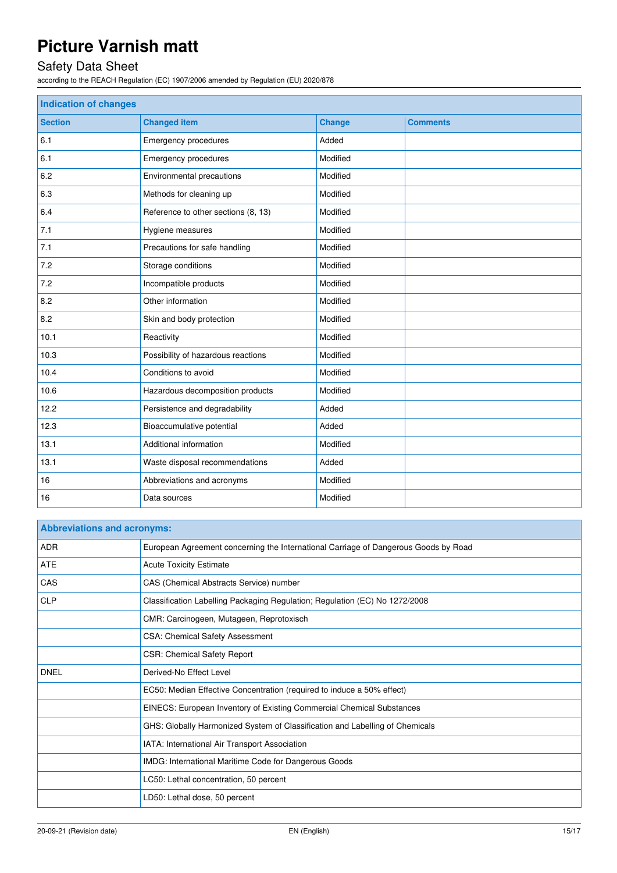# Safety Data Sheet

according to the REACH Regulation (EC) 1907/2006 amended by Regulation (EU) 2020/878

| <b>Indication of changes</b> |                                     |               |                 |
|------------------------------|-------------------------------------|---------------|-----------------|
| <b>Section</b>               | <b>Changed item</b>                 | <b>Change</b> | <b>Comments</b> |
| 6.1                          | Emergency procedures                | Added         |                 |
| 6.1                          | Emergency procedures                | Modified      |                 |
| 6.2                          | Environmental precautions           | Modified      |                 |
| 6.3                          | Methods for cleaning up             | Modified      |                 |
| 6.4                          | Reference to other sections (8, 13) | Modified      |                 |
| 7.1                          | Hygiene measures                    | Modified      |                 |
| 7.1                          | Precautions for safe handling       | Modified      |                 |
| 7.2                          | Storage conditions                  | Modified      |                 |
| 7.2                          | Incompatible products               | Modified      |                 |
| 8.2                          | Other information                   | Modified      |                 |
| 8.2                          | Skin and body protection            | Modified      |                 |
| 10.1                         | Reactivity                          | Modified      |                 |
| 10.3                         | Possibility of hazardous reactions  | Modified      |                 |
| 10.4                         | Conditions to avoid                 | Modified      |                 |
| 10.6                         | Hazardous decomposition products    | Modified      |                 |
| 12.2                         | Persistence and degradability       | Added         |                 |
| 12.3                         | Bioaccumulative potential           | Added         |                 |
| 13.1                         | Additional information              | Modified      |                 |
| 13.1                         | Waste disposal recommendations      | Added         |                 |
| 16                           | Abbreviations and acronyms          | Modified      |                 |
| 16                           | Data sources                        | Modified      |                 |

| <b>Abbreviations and acronyms:</b> |                                                                                     |  |  |  |
|------------------------------------|-------------------------------------------------------------------------------------|--|--|--|
| ADR                                | European Agreement concerning the International Carriage of Dangerous Goods by Road |  |  |  |
| <b>ATE</b>                         | <b>Acute Toxicity Estimate</b>                                                      |  |  |  |
| CAS                                | CAS (Chemical Abstracts Service) number                                             |  |  |  |
| <b>CLP</b>                         | Classification Labelling Packaging Regulation; Regulation (EC) No 1272/2008         |  |  |  |
|                                    | CMR: Carcinogeen, Mutageen, Reprotoxisch                                            |  |  |  |
|                                    | <b>CSA: Chemical Safety Assessment</b>                                              |  |  |  |
|                                    | <b>CSR: Chemical Safety Report</b>                                                  |  |  |  |
| <b>DNEL</b>                        | Derived-No Effect Level                                                             |  |  |  |
|                                    | EC50: Median Effective Concentration (required to induce a 50% effect)              |  |  |  |
|                                    | EINECS: European Inventory of Existing Commercial Chemical Substances               |  |  |  |
|                                    | GHS: Globally Harmonized System of Classification and Labelling of Chemicals        |  |  |  |
|                                    | IATA: International Air Transport Association                                       |  |  |  |
|                                    | IMDG: International Maritime Code for Dangerous Goods                               |  |  |  |
|                                    | LC50: Lethal concentration, 50 percent                                              |  |  |  |
|                                    | LD50: Lethal dose, 50 percent                                                       |  |  |  |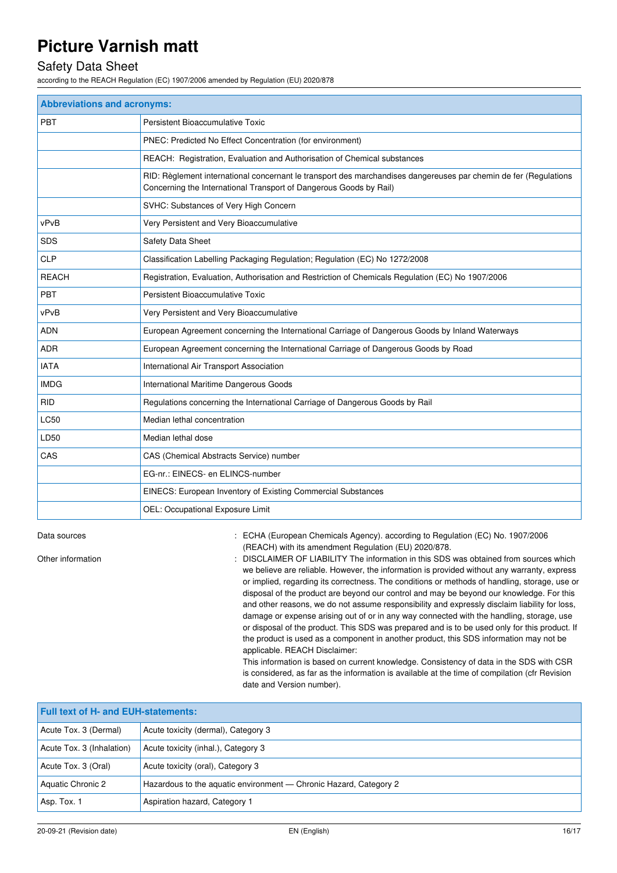### Safety Data Sheet

according to the REACH Regulation (EC) 1907/2006 amended by Regulation (EU) 2020/878

| <b>Abbreviations and acronyms:</b> |                                                                                                                                                                                        |  |  |
|------------------------------------|----------------------------------------------------------------------------------------------------------------------------------------------------------------------------------------|--|--|
| PBT                                | Persistent Bioaccumulative Toxic                                                                                                                                                       |  |  |
|                                    | PNEC: Predicted No Effect Concentration (for environment)                                                                                                                              |  |  |
|                                    | REACH: Registration, Evaluation and Authorisation of Chemical substances                                                                                                               |  |  |
|                                    | RID: Règlement international concernant le transport des marchandises dangereuses par chemin de fer (Regulations<br>Concerning the International Transport of Dangerous Goods by Rail) |  |  |
|                                    | SVHC: Substances of Very High Concern                                                                                                                                                  |  |  |
| vPvB                               | Very Persistent and Very Bioaccumulative                                                                                                                                               |  |  |
| <b>SDS</b>                         | Safety Data Sheet                                                                                                                                                                      |  |  |
| <b>CLP</b>                         | Classification Labelling Packaging Regulation; Regulation (EC) No 1272/2008                                                                                                            |  |  |
| <b>REACH</b>                       | Registration, Evaluation, Authorisation and Restriction of Chemicals Regulation (EC) No 1907/2006                                                                                      |  |  |
| <b>PBT</b>                         | Persistent Bioaccumulative Toxic                                                                                                                                                       |  |  |
| vPvB                               | Very Persistent and Very Bioaccumulative                                                                                                                                               |  |  |
| <b>ADN</b>                         | European Agreement concerning the International Carriage of Dangerous Goods by Inland Waterways                                                                                        |  |  |
| <b>ADR</b>                         | European Agreement concerning the International Carriage of Dangerous Goods by Road                                                                                                    |  |  |
| <b>IATA</b>                        | International Air Transport Association                                                                                                                                                |  |  |
| <b>IMDG</b>                        | International Maritime Dangerous Goods                                                                                                                                                 |  |  |
| <b>RID</b>                         | Regulations concerning the International Carriage of Dangerous Goods by Rail                                                                                                           |  |  |
| <b>LC50</b>                        | Median lethal concentration                                                                                                                                                            |  |  |
| LD50                               | Median lethal dose                                                                                                                                                                     |  |  |
| CAS                                | CAS (Chemical Abstracts Service) number                                                                                                                                                |  |  |
|                                    | EG-nr.: EINECS- en ELINCS-number                                                                                                                                                       |  |  |
|                                    | EINECS: European Inventory of Existing Commercial Substances                                                                                                                           |  |  |
|                                    | OEL: Occupational Exposure Limit                                                                                                                                                       |  |  |

Data sources **1997/2006** : ECHA (European Chemicals Agency). according to Regulation (EC) No. 1907/2006 (REACH) with its amendment Regulation (EU) 2020/878.

Other information **interest in the information** : DISCLAIMER OF LIABILITY The information in this SDS was obtained from sources which we believe are reliable. However, the information is provided without any warranty, express or implied, regarding its correctness. The conditions or methods of handling, storage, use or disposal of the product are beyond our control and may be beyond our knowledge. For this and other reasons, we do not assume responsibility and expressly disclaim liability for loss, damage or expense arising out of or in any way connected with the handling, storage, use or disposal of the product. This SDS was prepared and is to be used only for this product. If the product is used as a component in another product, this SDS information may not be applicable. REACH Disclaimer:

This information is based on current knowledge. Consistency of data in the SDS with CSR is considered, as far as the information is available at the time of compilation (cfr Revision date and Version number).

| <b>Full text of H- and EUH-statements:</b> |                                                                   |  |  |
|--------------------------------------------|-------------------------------------------------------------------|--|--|
| Acute Tox. 3 (Dermal)                      | Acute toxicity (dermal), Category 3                               |  |  |
| Acute Tox. 3 (Inhalation)                  | Acute toxicity (inhal.), Category 3                               |  |  |
| Acute Tox. 3 (Oral)                        | Acute toxicity (oral), Category 3                                 |  |  |
| Aquatic Chronic 2                          | Hazardous to the aquatic environment — Chronic Hazard, Category 2 |  |  |
| Asp. Tox. 1                                | Aspiration hazard, Category 1                                     |  |  |